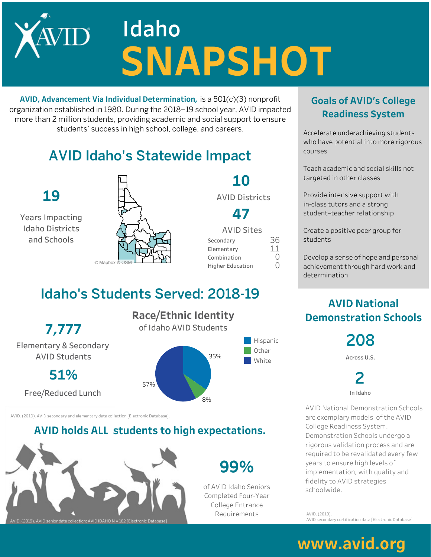# **Idaho SNAPSHOT**

**AVID, Advancement Via Individual Determination, is a 501(c)(3) nonprofit** organization established in 1980. During the 2018–19 school year, AVID impacted more than 2 million students, providing academic and social support to ensure students' success in high school, college, and careers.

## **AVID Idaho's Statewide Impact**



**10 AVID Districts** 

**47**

| <b>AVID Sites</b>       |     |
|-------------------------|-----|
| Secondary               | 36  |
| Elementary              | 11  |
| Combination             | 〔 〕 |
| <b>Higher Education</b> | ()  |

**99%**

of AVID Idaho Seniors Completed Four-Year College Entrance Requirements

### Idaho's Students Served: 2018-19

**7,777** Elementary&Secondary **AVID Students** 

**51%**

Free/Reduced Lunch

**Race/Ethnic Identity** of Idaho AVID Students



AVID. (2019). AVID secondary and elementary data collection [Electronic Database]

#### **AVID holds ALL students to high expectations.**



**GoalsofAVID'sCollege Readiness System** 

Accelerate underachieving students who have potential into more rigorous courses

Teach academic and social skills not targeted in other classes

Provide intensive support with in-class tutors and a strong student-teacher relationship

Create a positive peer group for students

Develop a sense of hope and personal achievement through hard work and determination

#### **AVID National Demonstration Schools**

**208**

**AcrossU.S.**

**2 InIdaho**

AVID National Demonstration Schools are exemplary models of the AVID College Readiness System. Demonstration Schools undergo a rigorous validation process and are required to be revalidated every few years to ensure high levels of implementation, with quality and fidelity to AVID strategies schoolwide.

AVID.(2019). AVID secondary certification data [Electronic Database].

## www.avid.org